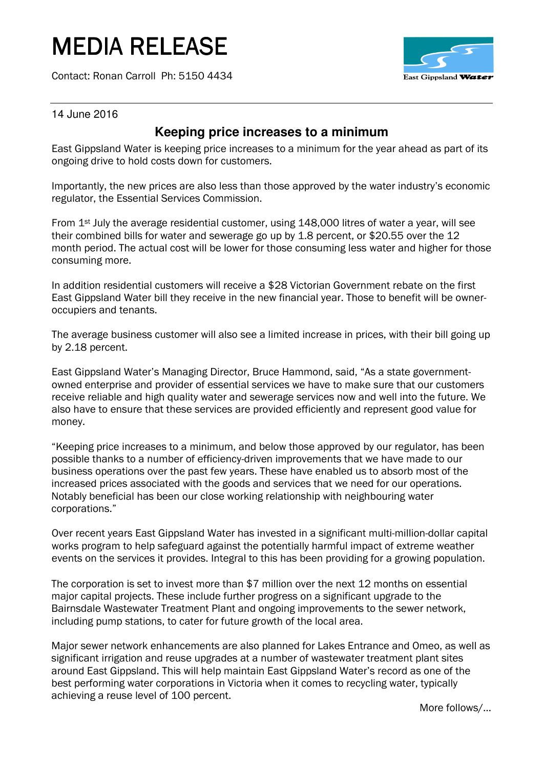# MEDIA RELEASE

Contact: Ronan Carroll Ph: 5150 4434



14 June 2016

## **Keeping price increases to a minimum**

East Gippsland Water is keeping price increases to a minimum for the year ahead as part of its ongoing drive to hold costs down for customers.

Importantly, the new prices are also less than those approved by the water industry's economic regulator, the Essential Services Commission.

From 1<sup>st</sup> July the average residential customer, using 148,000 litres of water a year, will see their combined bills for water and sewerage go up by 1.8 percent, or \$20.55 over the 12 month period. The actual cost will be lower for those consuming less water and higher for those consuming more.

In addition residential customers will receive a \$28 Victorian Government rebate on the first East Gippsland Water bill they receive in the new financial year. Those to benefit will be owneroccupiers and tenants.

The average business customer will also see a limited increase in prices, with their bill going up by 2.18 percent.

East Gippsland Water's Managing Director, Bruce Hammond, said, "As a state governmentowned enterprise and provider of essential services we have to make sure that our customers receive reliable and high quality water and sewerage services now and well into the future. We also have to ensure that these services are provided efficiently and represent good value for money.

"Keeping price increases to a minimum, and below those approved by our regulator, has been possible thanks to a number of efficiency-driven improvements that we have made to our business operations over the past few years. These have enabled us to absorb most of the increased prices associated with the goods and services that we need for our operations. Notably beneficial has been our close working relationship with neighbouring water corporations."

Over recent years East Gippsland Water has invested in a significant multi-million-dollar capital works program to help safeguard against the potentially harmful impact of extreme weather events on the services it provides. Integral to this has been providing for a growing population.

The corporation is set to invest more than \$7 million over the next 12 months on essential major capital projects. These include further progress on a significant upgrade to the Bairnsdale Wastewater Treatment Plant and ongoing improvements to the sewer network, including pump stations, to cater for future growth of the local area.

Major sewer network enhancements are also planned for Lakes Entrance and Omeo, as well as significant irrigation and reuse upgrades at a number of wastewater treatment plant sites around East Gippsland. This will help maintain East Gippsland Water's record as one of the best performing water corporations in Victoria when it comes to recycling water, typically achieving a reuse level of 100 percent.

More follows/…